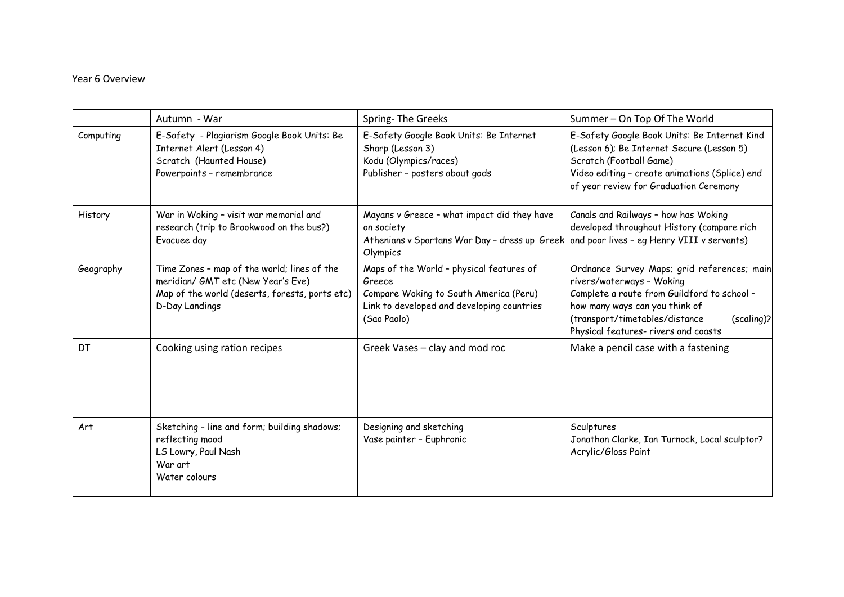## Year 6 Overview

|           | Autumn - War                                                                                                                                          | Spring-The Greeks                                                                                                                                         | Summer - On Top Of The World                                                                                                                                                                                                                      |
|-----------|-------------------------------------------------------------------------------------------------------------------------------------------------------|-----------------------------------------------------------------------------------------------------------------------------------------------------------|---------------------------------------------------------------------------------------------------------------------------------------------------------------------------------------------------------------------------------------------------|
| Computing | E-Safety - Plagiarism Google Book Units: Be<br>Internet Alert (Lesson 4)<br>Scratch (Haunted House)<br>Powerpoints - remembrance                      | E-Safety Google Book Units: Be Internet<br>Sharp (Lesson 3)<br>Kodu (Olympics/races)<br>Publisher - posters about gods                                    | E-Safety Google Book Units: Be Internet Kind<br>(Lesson 6); Be Internet Secure (Lesson 5)<br>Scratch (Football Game)<br>Video editing - create animations (Splice) end<br>of year review for Graduation Ceremony                                  |
| History   | War in Woking - visit war memorial and<br>research (trip to Brookwood on the bus?)<br>Evacuee day                                                     | Mayans v Greece - what impact did they have<br>on society<br>Athenians v Spartans War Day - dress up Greek<br>Olympics                                    | Canals and Railways - how has Woking<br>developed throughout History (compare rich<br>and poor lives - eq Henry VIII v servants)                                                                                                                  |
| Geography | Time Zones - map of the world; lines of the<br>meridian/ GMT etc (New Year's Eve)<br>Map of the world (deserts, forests, ports etc)<br>D-Day Landings | Maps of the World - physical features of<br>Greece<br>Compare Woking to South America (Peru)<br>Link to developed and developing countries<br>(Sao Paolo) | Ordnance Survey Maps; grid references; main<br>rivers/waterways - Woking<br>Complete a route from Guildford to school -<br>how many ways can you think of<br>(transport/timetables/distance<br>(scaling)?<br>Physical features- rivers and coasts |
| DT        | Cooking using ration recipes                                                                                                                          | Greek Vases - clay and mod roc                                                                                                                            | Make a pencil case with a fastening                                                                                                                                                                                                               |
| Art       | Sketching - line and form; building shadows;<br>reflecting mood<br>LS Lowry, Paul Nash<br>War art<br>Water colours                                    | Designing and sketching<br>Vase painter - Euphronic                                                                                                       | Sculptures<br>Jonathan Clarke, Ian Turnock, Local sculptor?<br>Acrylic/Gloss Paint                                                                                                                                                                |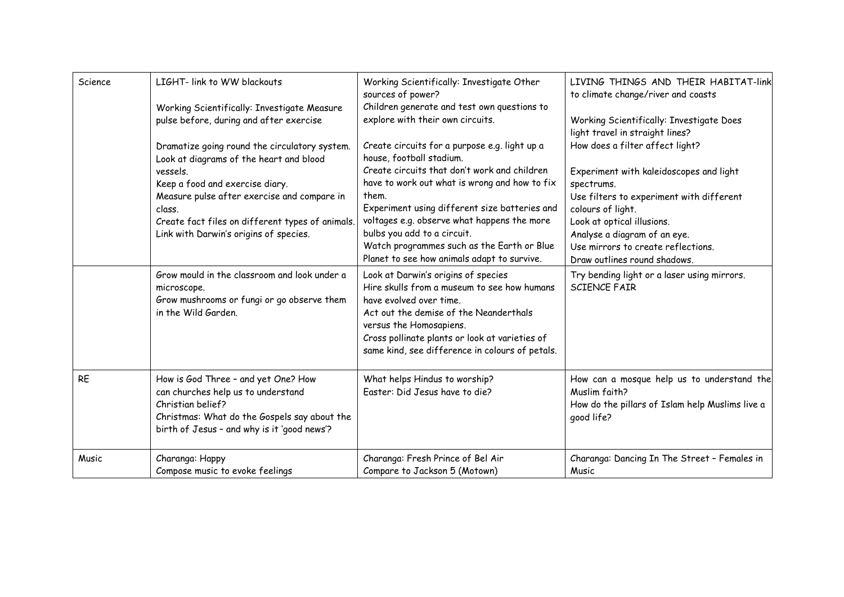| Science   | LIGHT- link to WW blackouts<br>Working Scientifically: Investigate Measure                                                                                                                    | Working Scientifically: Investigate Other<br>sources of power?<br>Children generate and test own questions to                                                                                                                                                                           | LIVING THINGS AND THEIR HABITAT-link<br>to climate change/river and coasts                                                       |
|-----------|-----------------------------------------------------------------------------------------------------------------------------------------------------------------------------------------------|-----------------------------------------------------------------------------------------------------------------------------------------------------------------------------------------------------------------------------------------------------------------------------------------|----------------------------------------------------------------------------------------------------------------------------------|
|           | pulse before, during and after exercise                                                                                                                                                       | explore with their own circuits.                                                                                                                                                                                                                                                        | Working Scientifically: Investigate Does<br>light travel in straight lines?                                                      |
|           | Dramatize going round the circulatory system.<br>Look at diagrams of the heart and blood                                                                                                      | Create circuits for a purpose e.g. light up a<br>house, football stadium.                                                                                                                                                                                                               | How does a filter affect light?                                                                                                  |
|           | vessels.<br>Keep a food and exercise diary.                                                                                                                                                   | Create circuits that don't work and children<br>have to work out what is wrong and how to fix                                                                                                                                                                                           | Experiment with kaleidoscopes and light<br>spectrums.                                                                            |
|           | Measure pulse after exercise and compare in<br>class.                                                                                                                                         | them.<br>Experiment using different size batteries and                                                                                                                                                                                                                                  | Use filters to experiment with different<br>colours of light.                                                                    |
|           | Create fact files on different types of animals.<br>Link with Darwin's origins of species.                                                                                                    | voltages e.g. observe what happens the more<br>bulbs you add to a circuit.<br>Watch programmes such as the Earth or Blue<br>Planet to see how animals adapt to survive.                                                                                                                 | Look at optical illusions.<br>Analyse a diagram of an eye.<br>Use mirrors to create reflections.<br>Draw outlines round shadows. |
|           | Grow mould in the classroom and look under a<br>microscope.<br>Grow mushrooms or fungi or go observe them<br>in the Wild Garden.                                                              | Look at Darwin's origins of species<br>Hire skulls from a museum to see how humans<br>have evolved over time.<br>Act out the demise of the Neanderthals<br>versus the Homosapiens.<br>Cross pollinate plants or look at varieties of<br>same kind, see difference in colours of petals. | Try bending light or a laser using mirrors.<br><b>SCIENCE FAIR</b>                                                               |
| <b>RE</b> | How is God Three - and yet One? How<br>can churches help us to understand<br>Christian belief?<br>Christmas: What do the Gospels say about the<br>birth of Jesus - and why is it 'good news'? | What helps Hindus to worship?<br>Easter: Did Jesus have to die?                                                                                                                                                                                                                         | How can a mosque help us to understand the<br>Muslim faith?<br>How do the pillars of Islam help Muslims live a<br>good life?     |
| Music     | Charanga: Happy<br>Compose music to evoke feelings                                                                                                                                            | Charanga: Fresh Prince of Bel Air<br>Compare to Jackson 5 (Motown)                                                                                                                                                                                                                      | Charanga: Dancing In The Street - Females in<br>Music                                                                            |